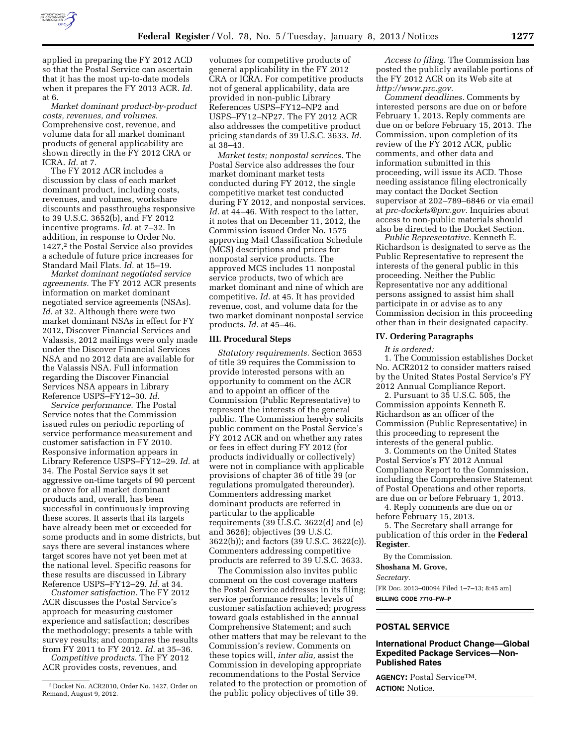

applied in preparing the FY 2012 ACD so that the Postal Service can ascertain that it has the most up-to-date models when it prepares the FY 2013 ACR. *Id.*  at 6.

*Market dominant product-by-product costs, revenues, and volumes.*  Comprehensive cost, revenue, and volume data for all market dominant products of general applicability are shown directly in the FY 2012 CRA or ICRA. *Id.* at 7.

The FY 2012 ACR includes a discussion by class of each market dominant product, including costs, revenues, and volumes, workshare discounts and passthroughs responsive to 39 U.S.C. 3652(b), and FY 2012 incentive programs. *Id.* at 7–32. In addition, in response to Order No. 1427,2 the Postal Service also provides a schedule of future price increases for Standard Mail Flats. *Id.* at 15–19.

*Market dominant negotiated service agreements.* The FY 2012 ACR presents information on market dominant negotiated service agreements (NSAs). *Id.* at 32. Although there were two market dominant NSAs in effect for FY 2012, Discover Financial Services and Valassis, 2012 mailings were only made under the Discover Financial Services NSA and no 2012 data are available for the Valassis NSA. Full information regarding the Discover Financial Services NSA appears in Library Reference USPS–FY12–30. *Id.* 

*Service performance.* The Postal Service notes that the Commission issued rules on periodic reporting of service performance measurement and customer satisfaction in FY 2010. Responsive information appears in Library Reference USPS–FY12–29. *Id.* at 34. The Postal Service says it set aggressive on-time targets of 90 percent or above for all market dominant products and, overall, has been successful in continuously improving these scores. It asserts that its targets have already been met or exceeded for some products and in some districts, but says there are several instances where target scores have not yet been met at the national level. Specific reasons for these results are discussed in Library Reference USPS–FY12–29. *Id.* at 34.

*Customer satisfaction.* The FY 2012 ACR discusses the Postal Service's approach for measuring customer experience and satisfaction; describes the methodology; presents a table with survey results; and compares the results from FY 2011 to FY 2012. *Id.* at 35–36.

*Competitive products.* The FY 2012 ACR provides costs, revenues, and

volumes for competitive products of general applicability in the FY 2012 CRA or ICRA. For competitive products not of general applicability, data are provided in non-public Library References USPS–FY12–NP2 and USPS–FY12–NP27. The FY 2012 ACR also addresses the competitive product pricing standards of 39 U.S.C. 3633. *Id.*  at 38–43.

*Market tests; nonpostal services.* The Postal Service also addresses the four market dominant market tests conducted during FY 2012, the single competitive market test conducted during FY 2012, and nonpostal services. Id. at 44–46. With respect to the latter, it notes that on December 11, 2012, the Commission issued Order No. 1575 approving Mail Classification Schedule (MCS) descriptions and prices for nonpostal service products. The approved MCS includes 11 nonpostal service products, two of which are market dominant and nine of which are competitive. *Id.* at 45. It has provided revenue, cost, and volume data for the two market dominant nonpostal service products. *Id.* at 45–46.

#### **III. Procedural Steps**

*Statutory requirements.* Section 3653 of title 39 requires the Commission to provide interested persons with an opportunity to comment on the ACR and to appoint an officer of the Commission (Public Representative) to represent the interests of the general public. The Commission hereby solicits public comment on the Postal Service's FY 2012 ACR and on whether any rates or fees in effect during FY 2012 (for products individually or collectively) were not in compliance with applicable provisions of chapter 36 of title 39 (or regulations promulgated thereunder). Commenters addressing market dominant products are referred in particular to the applicable requirements (39  $\overline{U}$ .S.C. 3622(d) and (e) and 3626); objectives (39 U.S.C. 3622(b)); and factors (39 U.S.C. 3622(c)). Commenters addressing competitive products are referred to 39 U.S.C. 3633.

The Commission also invites public comment on the cost coverage matters the Postal Service addresses in its filing; service performance results; levels of customer satisfaction achieved; progress toward goals established in the annual Comprehensive Statement; and such other matters that may be relevant to the Commission's review. Comments on these topics will, *inter alia,* assist the Commission in developing appropriate recommendations to the Postal Service related to the protection or promotion of the public policy objectives of title 39.

*Access to filing.* The Commission has posted the publicly available portions of the FY 2012 ACR on its Web site at *[http://www.prc.gov.](http://www.prc.gov)* 

*Comment deadlines.* Comments by interested persons are due on or before February 1, 2013. Reply comments are due on or before February 15, 2013. The Commission, upon completion of its review of the FY 2012 ACR, public comments, and other data and information submitted in this proceeding, will issue its ACD. Those needing assistance filing electronically may contact the Docket Section supervisor at 202–789–6846 or via email at *[prc-dockets@prc.gov.](mailto:prc-dockets@prc.gov)* Inquiries about access to non-public materials should also be directed to the Docket Section.

*Public Representative.* Kenneth E. Richardson is designated to serve as the Public Representative to represent the interests of the general public in this proceeding. Neither the Public Representative nor any additional persons assigned to assist him shall participate in or advise as to any Commission decision in this proceeding other than in their designated capacity.

#### **IV. Ordering Paragraphs**

*It is ordered:* 

1. The Commission establishes Docket No. ACR2012 to consider matters raised by the United States Postal Service's FY 2012 Annual Compliance Report.

2. Pursuant to 35 U.S.C. 505, the Commission appoints Kenneth E. Richardson as an officer of the Commission (Public Representative) in this proceeding to represent the interests of the general public.

3. Comments on the United States Postal Service's FY 2012 Annual Compliance Report to the Commission, including the Comprehensive Statement of Postal Operations and other reports, are due on or before February 1, 2013.

4. Reply comments are due on or before February 15, 2013.

5. The Secretary shall arrange for publication of this order in the **Federal Register**.

By the Commission.

**Shoshana M. Grove,** 

*Secretary.* 

[FR Doc. 2013–00094 Filed 1–7–13; 8:45 am] **BILLING CODE 7710–FW–P** 

# **POSTAL SERVICE**

## **International Product Change—Global Expedited Package Services—Non-Published Rates**

**AGENCY:** Postal ServiceTM. **ACTION:** Notice.

<sup>2</sup> Docket No. ACR2010, Order No. 1427, Order on Remand, August 9, 2012.